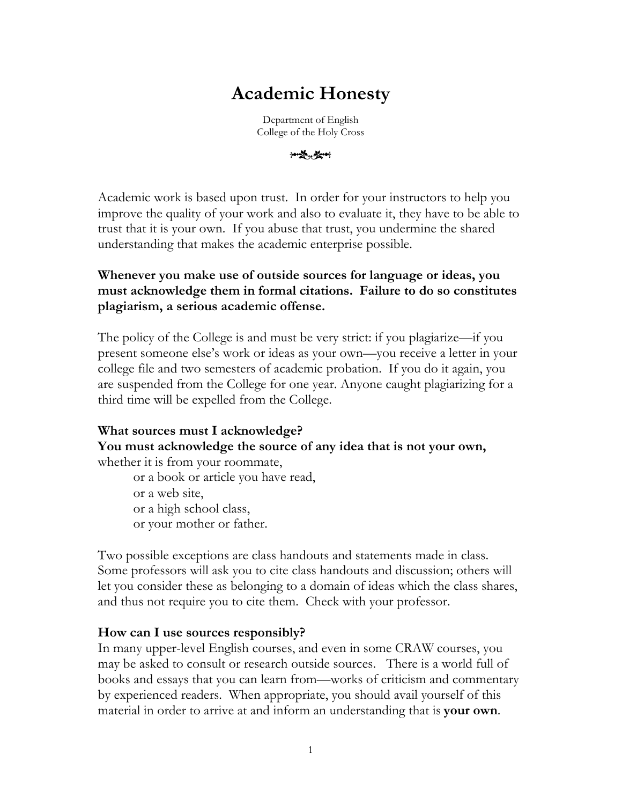# **Academic Honesty**

Department of English College of the Holy Cross

\*\*\*\*

Academic work is based upon trust. In order for your instructors to help you improve the quality of your work and also to evaluate it, they have to be able to trust that it is your own. If you abuse that trust, you undermine the shared understanding that makes the academic enterprise possible.

## **Whenever you make use of outside sources for language or ideas, you must acknowledge them in formal citations. Failure to do so constitutes plagiarism, a serious academic offense.**

The policy of the College is and must be very strict: if you plagiarize—if you present someone else's work or ideas as your own—you receive a letter in your college file and two semesters of academic probation. If you do it again, you are suspended from the College for one year. Anyone caught plagiarizing for a third time will be expelled from the College.

#### **What sources must I acknowledge? You must acknowledge the source of any idea that is not your own,** whether it is from your roommate,

or a book or article you have read, or a web site, or a high school class, or your mother or father.

Two possible exceptions are class handouts and statements made in class. Some professors will ask you to cite class handouts and discussion; others will let you consider these as belonging to a domain of ideas which the class shares, and thus not require you to cite them. Check with your professor.

#### **How can I use sources responsibly?**

In many upper-level English courses, and even in some CRAW courses, you may be asked to consult or research outside sources. There is a world full of books and essays that you can learn from—works of criticism and commentary by experienced readers. When appropriate, you should avail yourself of this material in order to arrive at and inform an understanding that is **your own**.